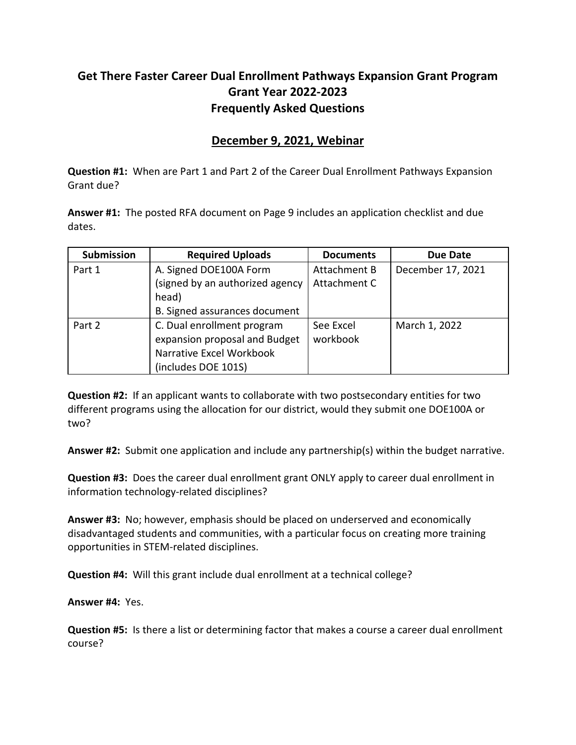## **Get There Faster Career Dual Enrollment Pathways Expansion Grant Program Grant Year 2022-2023 Frequently Asked Questions**

## **December 9, 2021, Webinar**

**Question #1:** When are Part 1 and Part 2 of the Career Dual Enrollment Pathways Expansion Grant due?

**Answer #1:** The posted RFA document on Page 9 includes an application checklist and due dates.

| Submission | <b>Required Uploads</b>         | <b>Documents</b> | <b>Due Date</b>   |
|------------|---------------------------------|------------------|-------------------|
| Part 1     | A. Signed DOE100A Form          | Attachment B     | December 17, 2021 |
|            | (signed by an authorized agency | Attachment C     |                   |
|            | head)                           |                  |                   |
|            | B. Signed assurances document   |                  |                   |
| Part 2     | C. Dual enrollment program      | See Excel        | March 1, 2022     |
|            | expansion proposal and Budget   | workbook         |                   |
|            | Narrative Excel Workbook        |                  |                   |
|            | (includes DOE 101S)             |                  |                   |

**Question #2:** If an applicant wants to collaborate with two postsecondary entities for two different programs using the allocation for our district, would they submit one DOE100A or two?

**Answer #2:** Submit one application and include any partnership(s) within the budget narrative.

**Question #3:** Does the career dual enrollment grant ONLY apply to career dual enrollment in information technology-related disciplines?

**Answer #3:** No; however, emphasis should be placed on underserved and economically disadvantaged students and communities, with a particular focus on creating more training opportunities in STEM-related disciplines.

**Question #4:** Will this grant include dual enrollment at a technical college?

**Answer #4:** Yes.

**Question #5:** Is there a list or determining factor that makes a course a career dual enrollment course?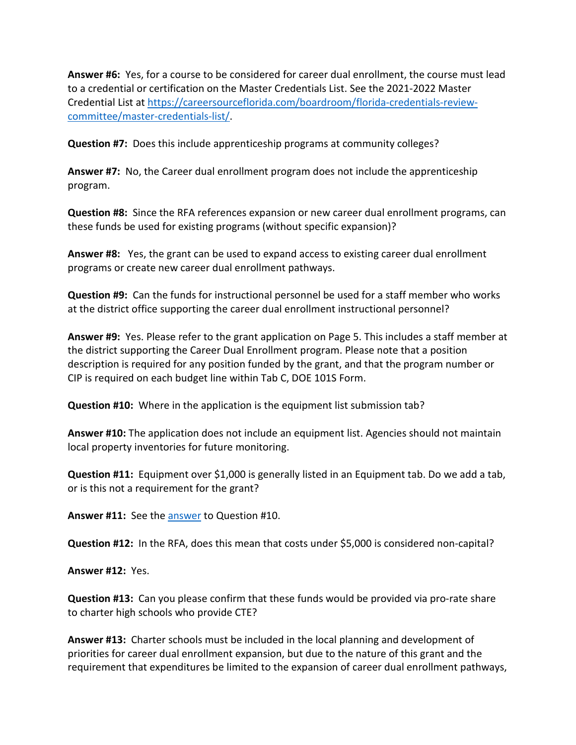**Answer #6:** Yes, for a course to be considered for career dual enrollment, the course must lead to a credential or certification on the Master Credentials List. See the 2021-2022 Master Credential List at [https://careersourceflorida.com/boardroom/florida-credentials-review](https://careersourceflorida.com/boardroom/florida-credentials-review-committee/master-credentials-list/)[committee/master-credentials-list/.](https://careersourceflorida.com/boardroom/florida-credentials-review-committee/master-credentials-list/)

**Question #7:** Does this include apprenticeship programs at community colleges?

**Answer #7:** No, the Career dual enrollment program does not include the apprenticeship program.

**Question #8:** Since the RFA references expansion or new career dual enrollment programs, can these funds be used for existing programs (without specific expansion)?

**Answer #8:** Yes, the grant can be used to expand access to existing career dual enrollment programs or create new career dual enrollment pathways.

**Question #9:** Can the funds for instructional personnel be used for a staff member who works at the district office supporting the career dual enrollment instructional personnel?

**Answer #9:** Yes. Please refer to the grant application on Page 5. This includes a staff member at the district supporting the Career Dual Enrollment program. Please note that a position description is required for any position funded by the grant, and that the program number or CIP is required on each budget line within Tab C, DOE 101S Form.

**Question #10:** Where in the application is the equipment list submission tab?

<span id="page-1-0"></span>**Answer #10:** The application does not include an equipment list. Agencies should not maintain local property inventories for future monitoring.

**Question #11:** Equipment over \$1,000 is generally listed in an Equipment tab. Do we add a tab, or is this not a requirement for the grant?

**Answer #11:** See the [answer](#page-1-0) to Question #10.

**Question #12:** In the RFA, does this mean that costs under \$5,000 is considered non-capital?

**Answer #12:** Yes.

**Question #13:** Can you please confirm that these funds would be provided via pro-rate share to charter high schools who provide CTE?

<span id="page-1-1"></span>**Answer #13:** Charter schools must be included in the local planning and development of priorities for career dual enrollment expansion, but due to the nature of this grant and the requirement that expenditures be limited to the expansion of career dual enrollment pathways,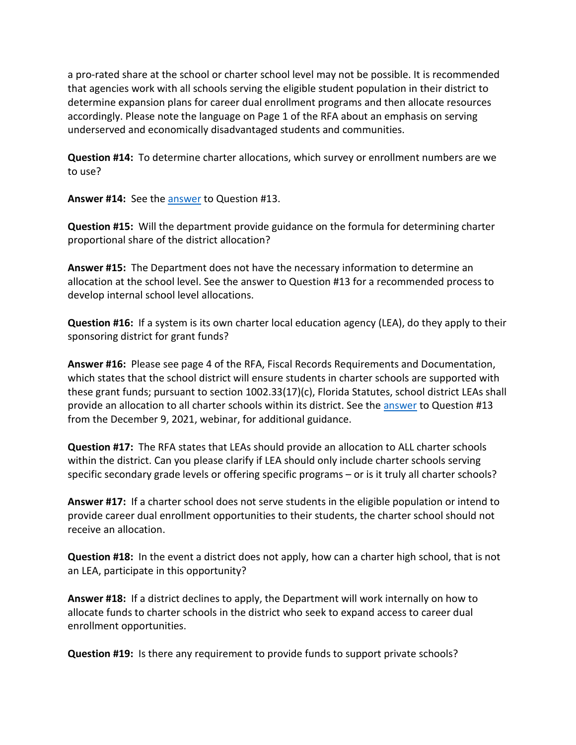a pro-rated share at the school or charter school level may not be possible. It is recommended that agencies work with all schools serving the eligible student population in their district to determine expansion plans for career dual enrollment programs and then allocate resources accordingly. Please note the language on Page 1 of the RFA about an emphasis on serving underserved and economically disadvantaged students and communities.

**Question #14:** To determine charter allocations, which survey or enrollment numbers are we to use?

**Answer #14:** See the [answer](#page-1-1) to Question #13.

**Question #15:** Will the department provide guidance on the formula for determining charter proportional share of the district allocation?

**Answer #15:** The Department does not have the necessary information to determine an allocation at the school level. See the answer to Question #13 for a recommended process to develop internal school level allocations.

**Question #16:** If a system is its own charter local education agency (LEA), do they apply to their sponsoring district for grant funds?

**Answer #16:** Please see page 4 of the RFA, Fiscal Records Requirements and Documentation, which states that the school district will ensure students in charter schools are supported with these grant funds; pursuant to section 1002.33(17)(c), Florida Statutes, school district LEAs shall provide an allocation to all charter schools within its district. See th[e answer](#page-1-1) to Question #13 from the December 9, 2021, webinar, for additional guidance.

**Question #17:** The RFA states that LEAs should provide an allocation to ALL charter schools within the district. Can you please clarify if LEA should only include charter schools serving specific secondary grade levels or offering specific programs – or is it truly all charter schools?

**Answer #17:** If a charter school does not serve students in the eligible population or intend to provide career dual enrollment opportunities to their students, the charter school should not receive an allocation.

**Question #18:** In the event a district does not apply, how can a charter high school, that is not an LEA, participate in this opportunity?

**Answer #18:** If a district declines to apply, the Department will work internally on how to allocate funds to charter schools in the district who seek to expand access to career dual enrollment opportunities.

**Question #19:** Is there any requirement to provide funds to support private schools?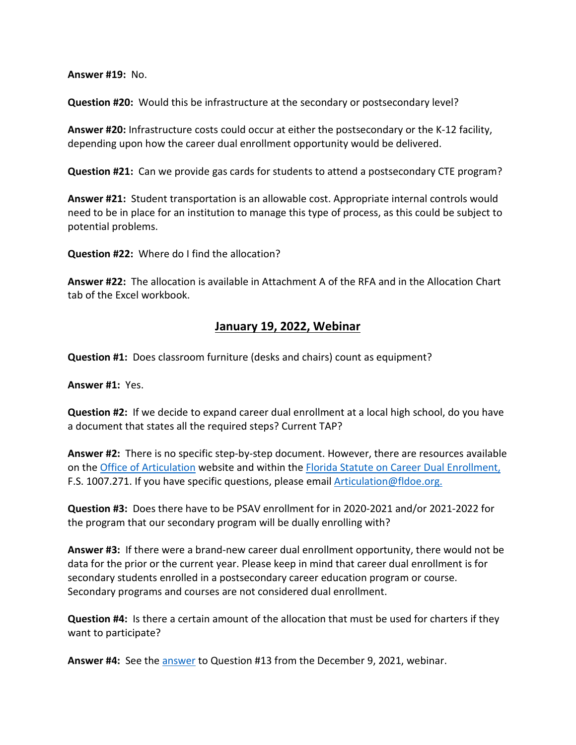**Answer #19:** No.

**Question #20:** Would this be infrastructure at the secondary or postsecondary level?

**Answer #20:** Infrastructure costs could occur at either the postsecondary or the K-12 facility, depending upon how the career dual enrollment opportunity would be delivered.

**Question #21:** Can we provide gas cards for students to attend a postsecondary CTE program?

**Answer #21:** Student transportation is an allowable cost. Appropriate internal controls would need to be in place for an institution to manage this type of process, as this could be subject to potential problems.

**Question #22:** Where do I find the allocation?

**Answer #22:** The allocation is available in Attachment A of the RFA and in the Allocation Chart tab of the Excel workbook.

## **January 19, 2022, Webinar**

**Question #1:** Does classroom furniture (desks and chairs) count as equipment?

**Answer #1:** Yes.

**Question #2:** If we decide to expand career dual enrollment at a local high school, do you have a document that states all the required steps? Current TAP?

**Answer #2:** There is no specific step-by-step document. However, there are resources available on the [Office of Articulation](https://www.fldoe.org/policy/articulation/) website and within the [Florida Statute on Career Dual Enrollment,](http://www.leg.state.fl.us/statutes/index.cfm?App_mode=Display_Statute&URL=1000-1099/1007/Sections/1007.271.html) F.S. 1007.271. If you have specific questions, please email [Articulation@fldoe.org.](mailto:Articulation@fldoe.org.)

**Question #3:** Does there have to be PSAV enrollment for in 2020-2021 and/or 2021-2022 for the program that our secondary program will be dually enrolling with?

**Answer #3:** If there were a brand-new career dual enrollment opportunity, there would not be data for the prior or the current year. Please keep in mind that career dual enrollment is for secondary students enrolled in a postsecondary career education program or course. Secondary programs and courses are not considered dual enrollment.

**Question #4:** Is there a certain amount of the allocation that must be used for charters if they want to participate?

**Answer #4:** See the [answer](#page-1-1) to Question #13 from the December 9, 2021, webinar.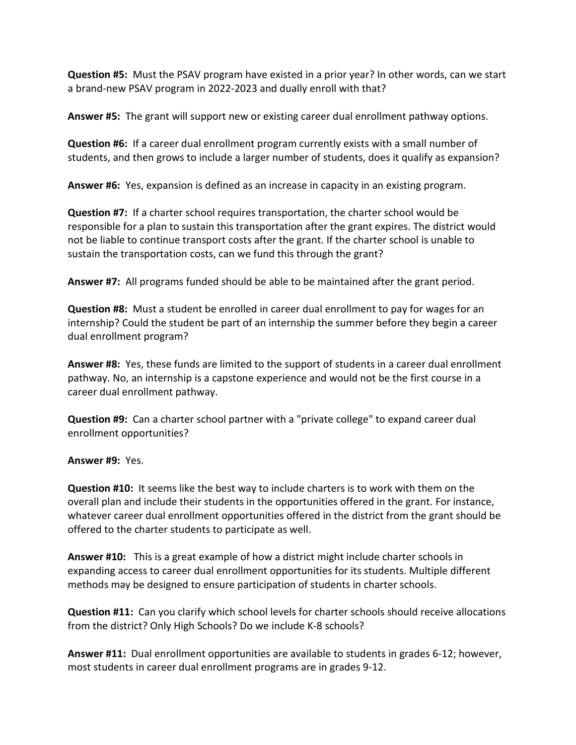**Question #5:** Must the PSAV program have existed in a prior year? In other words, can we start a brand-new PSAV program in 2022-2023 and dually enroll with that?

**Answer #5:** The grant will support new or existing career dual enrollment pathway options.

**Question #6:** If a career dual enrollment program currently exists with a small number of students, and then grows to include a larger number of students, does it qualify as expansion?

**Answer #6:** Yes, expansion is defined as an increase in capacity in an existing program.

**Question #7:** If a charter school requires transportation, the charter school would be responsible for a plan to sustain this transportation after the grant expires. The district would not be liable to continue transport costs after the grant. If the charter school is unable to sustain the transportation costs, can we fund this through the grant?

**Answer #7:** All programs funded should be able to be maintained after the grant period.

**Question #8:** Must a student be enrolled in career dual enrollment to pay for wages for an internship? Could the student be part of an internship the summer before they begin a career dual enrollment program?

**Answer #8:** Yes, these funds are limited to the support of students in a career dual enrollment pathway. No, an internship is a capstone experience and would not be the first course in a career dual enrollment pathway.

**Question #9:** Can a charter school partner with a "private college" to expand career dual enrollment opportunities?

## **Answer #9:** Yes.

**Question #10:** It seems like the best way to include charters is to work with them on the overall plan and include their students in the opportunities offered in the grant. For instance, whatever career dual enrollment opportunities offered in the district from the grant should be offered to the charter students to participate as well.

**Answer #10:** This is a great example of how a district might include charter schools in expanding access to career dual enrollment opportunities for its students. Multiple different methods may be designed to ensure participation of students in charter schools.

**Question #11:** Can you clarify which school levels for charter schools should receive allocations from the district? Only High Schools? Do we include K-8 schools?

**Answer #11:** Dual enrollment opportunities are available to students in grades 6-12; however, most students in career dual enrollment programs are in grades 9-12.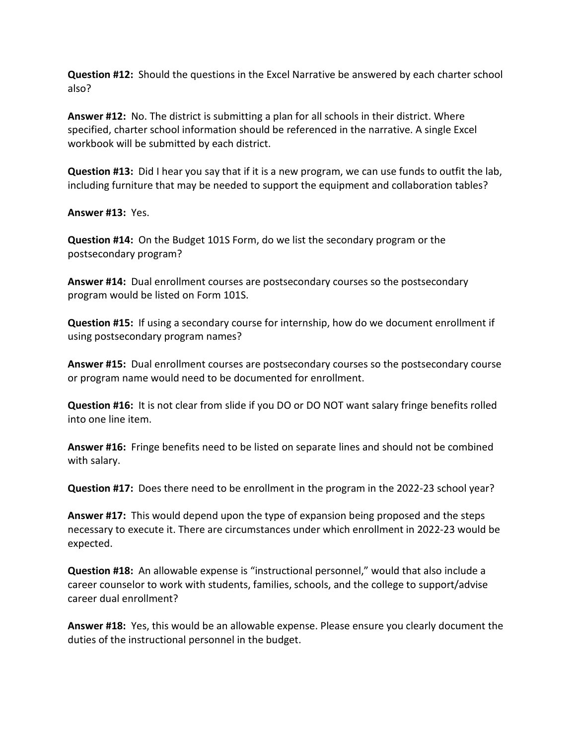**Question #12:** Should the questions in the Excel Narrative be answered by each charter school also?

**Answer #12:** No. The district is submitting a plan for all schools in their district. Where specified, charter school information should be referenced in the narrative. A single Excel workbook will be submitted by each district.

**Question #13:** Did I hear you say that if it is a new program, we can use funds to outfit the lab, including furniture that may be needed to support the equipment and collaboration tables?

**Answer #13:** Yes.

**Question #14:** On the Budget 101S Form, do we list the secondary program or the postsecondary program?

**Answer #14:** Dual enrollment courses are postsecondary courses so the postsecondary program would be listed on Form 101S.

**Question #15:** If using a secondary course for internship, how do we document enrollment if using postsecondary program names?

**Answer #15:** Dual enrollment courses are postsecondary courses so the postsecondary course or program name would need to be documented for enrollment.

**Question #16:** It is not clear from slide if you DO or DO NOT want salary fringe benefits rolled into one line item.

**Answer #16:** Fringe benefits need to be listed on separate lines and should not be combined with salary.

**Question #17:** Does there need to be enrollment in the program in the 2022-23 school year?

**Answer #17:** This would depend upon the type of expansion being proposed and the steps necessary to execute it. There are circumstances under which enrollment in 2022-23 would be expected.

**Question #18:** An allowable expense is "instructional personnel," would that also include a career counselor to work with students, families, schools, and the college to support/advise career dual enrollment?

**Answer #18:** Yes, this would be an allowable expense. Please ensure you clearly document the duties of the instructional personnel in the budget.